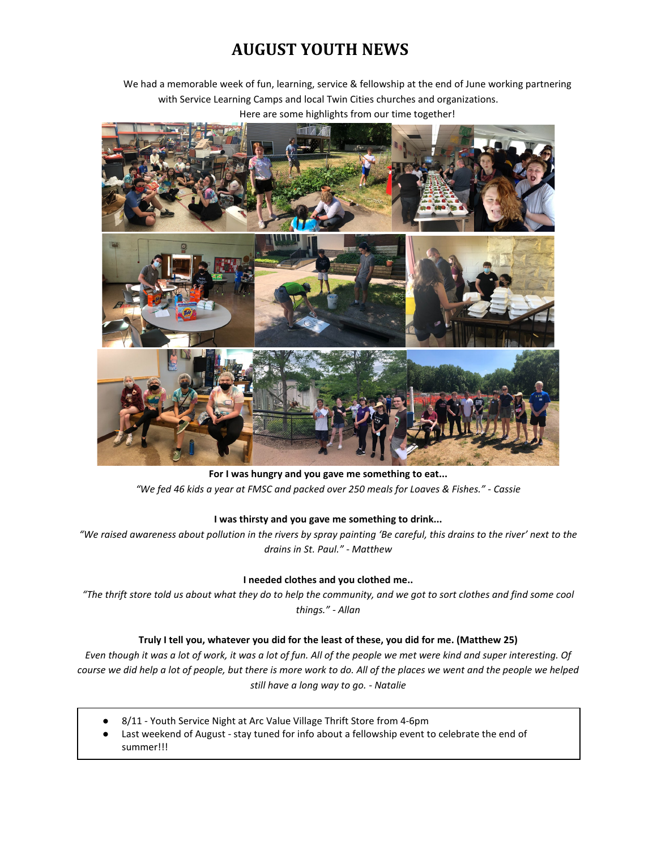# **AUGUST YOUTH NEWS**

We had a memorable week of fun, learning, service & fellowship at the end of June working partnering with Service Learning Camps and local Twin Cities churches and organizations. Here are some highlights from our time together!



**For I was hungry and you gave me something to eat...** *"We fed 46 kids a year at FMSC and packed over 250 meals for Loaves & Fishes." - Cassie*

### **I was thirsty and you gave me something to drink...**

*"We raised awareness about pollution in the rivers by spray painting 'Be careful, this drains to the river' next to the drains in St. Paul." - Matthew*

### **I needed clothes and you clothed me..**

*"The thrift store told us about what they do to help the community, and we got to sort clothes and find some cool things." - Allan*

### **Truly I tell you, whatever you did for the least of these, you did for me. (Matthew 25)**

*Even though it was a lot of work, it was a lot of fun. All of the people we met were kind and super interesting. Of course we did help a lot of people, but there is more work to do. All of the places we went and the people we helped still have a long way to go. - Natalie*

- 8/11 Youth Service Night at Arc Value Village Thrift Store from 4-6pm
- Last weekend of August stay tuned for info about a fellowship event to celebrate the end of summer!!!